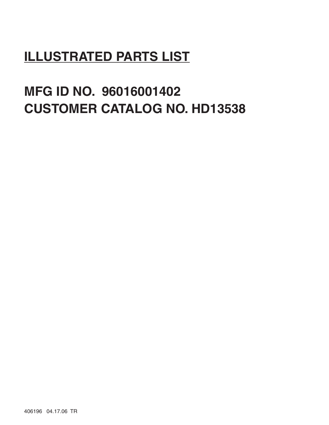# **ILLUSTRATED PARTS LIST**

**MFG ID NO. 96016001402 CUSTOMER CATALOG NO. HD13538**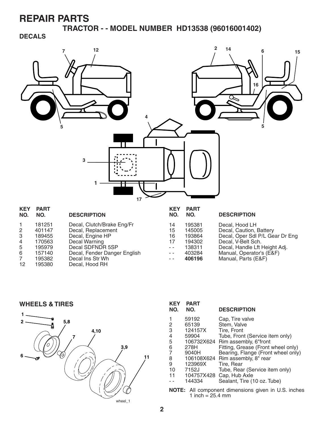**TRACTOR - - MODEL NUMBER HD13538 (96016001402)** 

#### **DECALS**



|    | 181251 | Decal, Clutch/Brake Eng/Fr   | 14   | 195381 |
|----|--------|------------------------------|------|--------|
| 2  | 401147 | Decal, Replacement           | 15   | 145005 |
| 3  | 189455 | Decal, Engine HP             | 16   | 193864 |
| 4  | 170563 | Decal Warning                | 17   | 194302 |
| 5  | 195979 | Decal SDFNDR 5SP             | $ -$ | 138311 |
| 6  | 157140 | Decal, Fender Danger English | $ -$ | 403284 |
| 7  | 195382 | Decal Ins Str Wh             | $ -$ | 406196 |
| 12 | 195380 | Decal, Hood RH               |      |        |

| IV.            | IVJ.   | ורטוו ווויטש                    |
|----------------|--------|---------------------------------|
| 14             | 195381 | Decal, Hood LH                  |
| 15             | 145005 | Decal, Caution, Battery         |
| 16             | 193864 | Decal, Oper Sdl P/L Gear Dr Eng |
| 17             | 194302 | Decal. V-Belt Sch.              |
| $\overline{a}$ | 138311 | Decal, Handle Lft Height Adj.   |
| $-$            | 403284 | Manual, Operator's (E&F)        |
| $-$            | 406196 | Manual, Parts (E&F)             |
|                |        |                                 |

**WHEELS & TIRES**



| <b>KEY</b><br>NO.                                          | <b>PART</b><br>NO. | <b>DESCRIPTION</b>                 |  |  |  |
|------------------------------------------------------------|--------------------|------------------------------------|--|--|--|
| 1                                                          | 59192              | Cap, Tire valve                    |  |  |  |
| 2                                                          | 65139              | Stem, Valve                        |  |  |  |
| 3                                                          | 124157X            | Tire, Front                        |  |  |  |
| 4                                                          | 59904              | Tube, Front (Service item only)    |  |  |  |
| 5                                                          |                    | 106732X624 Rim assembly, 6"front   |  |  |  |
| 6                                                          | 278H               | Fitting, Grease (Front wheel only) |  |  |  |
| $\overline{7}$                                             | 9040H              | Bearing, Flange (Front wheel only) |  |  |  |
| 8                                                          |                    | 106108X624 Rim assembly, 8" rear   |  |  |  |
| 9                                                          | 123969X            | Tire, Rear                         |  |  |  |
| 10                                                         | 7152J              | Tube, Rear (Service item only)     |  |  |  |
| 11                                                         | 104757X428         | Cap, Hub Axle                      |  |  |  |
|                                                            | 144334             | Sealant, Tire (10 oz. Tube)        |  |  |  |
| <b>NOTE:</b> All component dimensions given in U.S. inches |                    |                                    |  |  |  |
| 1 inch = $25.4 \text{ mm}$                                 |                    |                                    |  |  |  |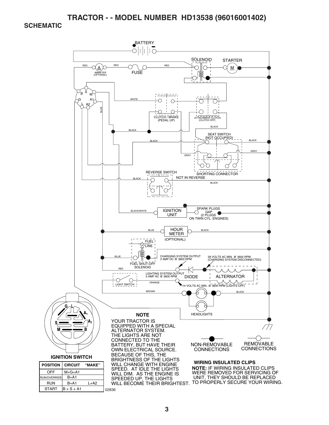#### **TRACTOR - - MODEL NUMBER HD13538 (96016001402)**

#### **SCHEMATIC**

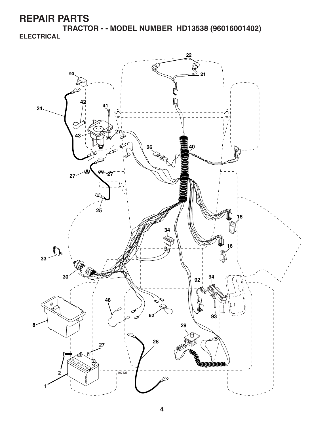**TRACTOR - - MODEL NUMBER HD13538 (96016001402) ELECTRICAL**

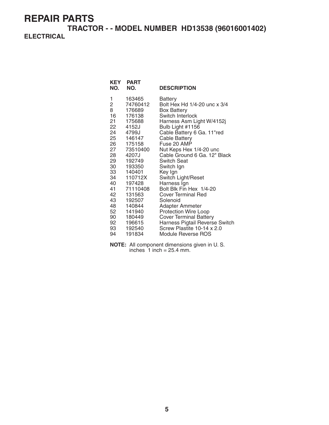**TRACTOR - - MODEL NUMBER HD13538 (96016001402) ELECTRICAL**

| KEY<br>NO.                                            | <b>PART</b><br>NO.                                                                                 | <b>DESCRIPTION</b>                                                                                                                                                                                                                 |
|-------------------------------------------------------|----------------------------------------------------------------------------------------------------|------------------------------------------------------------------------------------------------------------------------------------------------------------------------------------------------------------------------------------|
| 1<br>2<br>8<br>16<br>21<br>22<br>24<br>25<br>26<br>27 | 163465<br>74760412<br>176689<br>176138<br>175688<br>4152J<br>4799J<br>146147<br>175158<br>73510400 | Battery<br>Bolt Hex Hd 1/4-20 unc x 3/4<br><b>Box Battery</b><br>Switch Interlock<br>Harness Asm Light W/4152j<br>Bulb Light #1156<br>Cable Battery 6 Ga. 11"red<br><b>Cable Battery</b><br>Fuse 20 AMP<br>Nut Keps Hex 1/4-20 unc |
| 28<br>29                                              | 4207J<br>192749                                                                                    | Cable Ground 6 Ga. 12" Black<br>Switch Seat                                                                                                                                                                                        |
| 30                                                    | 193350                                                                                             | Switch Ign                                                                                                                                                                                                                         |
| 33<br>34                                              | 140401<br>110712X                                                                                  | Key Ign<br>Switch Light/Reset                                                                                                                                                                                                      |
| 40                                                    | 197428                                                                                             | Harness Ign                                                                                                                                                                                                                        |
| 41                                                    | 71110408                                                                                           | Bolt Blk Fin Hex 1/4-20                                                                                                                                                                                                            |
| 42                                                    | 131563                                                                                             | <b>Cover Terminal Red</b>                                                                                                                                                                                                          |
| 43                                                    | 192507                                                                                             | Solenoid                                                                                                                                                                                                                           |
| 48                                                    | 140844<br>141940                                                                                   | Adapter Ammeter                                                                                                                                                                                                                    |
| 52<br>90                                              | 180449                                                                                             | <b>Protection Wire Loop</b><br><b>Cover Terminal Battery</b>                                                                                                                                                                       |
| 92                                                    | 196615                                                                                             | Harness Pigtail Reverse Switch                                                                                                                                                                                                     |
| 93                                                    | 192540                                                                                             | Screw Plastite 10-14 x 2.0                                                                                                                                                                                                         |
| 94                                                    | 191834                                                                                             | Module Reverse ROS                                                                                                                                                                                                                 |

**NOTE:** All component dimensions given in U. S. inches  $1$  inch = 25.4 mm.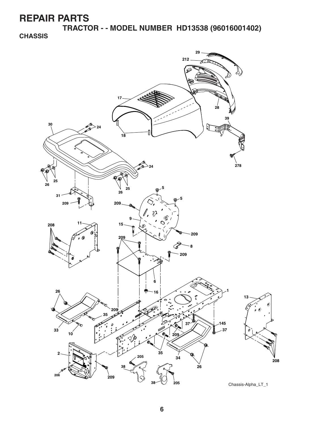**TRACTOR - - MODEL NUMBER HD13538 (96016001402) CHASSIS**

![](_page_5_Picture_2.jpeg)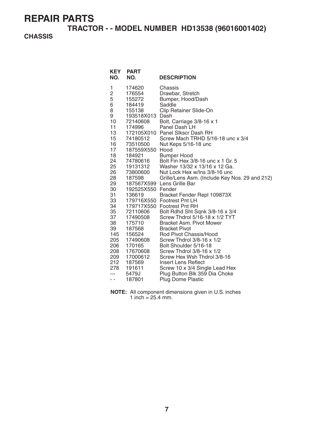**TRACTOR - - MODEL NUMBER HD13538 (96016001402)** 

#### **CHASSIS**

| <b>KEY</b><br>NO.                                                                                                                                                                                                   | <b>PART</b><br>NO.                                                                                                                                                                                                                                                                                                                                         | <b>DESCRIPTION</b>                                                                                                                                                                                                                                                                                                                                                                                                                                                                                                                                                                                                                                                                                                                                                                                                                                                                                                                                           |
|---------------------------------------------------------------------------------------------------------------------------------------------------------------------------------------------------------------------|------------------------------------------------------------------------------------------------------------------------------------------------------------------------------------------------------------------------------------------------------------------------------------------------------------------------------------------------------------|--------------------------------------------------------------------------------------------------------------------------------------------------------------------------------------------------------------------------------------------------------------------------------------------------------------------------------------------------------------------------------------------------------------------------------------------------------------------------------------------------------------------------------------------------------------------------------------------------------------------------------------------------------------------------------------------------------------------------------------------------------------------------------------------------------------------------------------------------------------------------------------------------------------------------------------------------------------|
| 1<br>2<br>5<br>6<br>8<br>9<br>10<br>11<br>13<br>15<br>16<br>17<br>18<br>24<br>25<br>26<br>28<br>29<br>30<br>31<br>33<br>34<br>35<br>37<br>38<br>39<br>145<br>205<br>206<br>208<br>209<br>212<br>278<br>$---$<br>- - | 174620<br>176554<br>155272<br>184419<br>155138<br>193518X013<br>72140608<br>174996<br>74180512<br>73510500<br>187559X550<br>184921<br>74780616<br>19131312<br>73800600<br>187598<br>192525X550 Fender<br>136619<br>72110606<br>17490508<br>175710<br>187568<br>156524<br>17490608<br>170165<br>17670608<br>17000612<br>187569<br>191611<br>5479J<br>187801 | Chassis<br>Drawbar, Stretch<br>Bumper, Hood/Dash<br>Saddle<br>Clip Retainer Slide-On<br>Dash<br>Bolt, Carriage 3/8-16 x 1<br>Panel Dash LH<br>172105X010 Panel Slkscr Dash RH<br>Screw Mach TRHD 5/16-18 unc x 3/4<br>Nut Keps 5/16-18 unc<br>Hood<br><b>Bumper Hood</b><br>Bolt Fin Hex 3/8-16 unc x 1 Gr. 5<br>Washer 13/32 x 13/16 x 12 Ga.<br>Nut Lock Hex w/Ins 3/8-16 unc<br>Grille/Lens Asm. (Include Key Nos. 29 and 212)<br>187567X599 Lens Grille Bar<br>Bracket Fender Repl 109873X<br>179716X550 Footrest Pnt LH<br>179717X550 Footrest Pnt RH<br>Bolt Rdhd Sht Sqnk 3/8-16 x 3/4<br>Screw Thdrol 5/16-18 x 1/2 TYT<br><b>Bracket Asm. Pivot Mower</b><br><b>Bracket Pivot</b><br>Rod Pivot Chassis/Hood<br>Screw Thdrol 3/8-16 x 1/2<br>Bolt Shoulder 5/16-18<br>Screw Thdrol 3/8-16 x 1/2<br>Screw Hex Wsh Thdrol 3/8-16<br>Insert Lens Reflect<br>Screw 10 x 3/4 Single Lead Hex<br>Plug Button Blk 359 Dia Choke<br><b>Plug Dome Plastic</b> |

**NOTE:** All component dimensions given in U.S. inches 1 inch =  $25.4$  mm.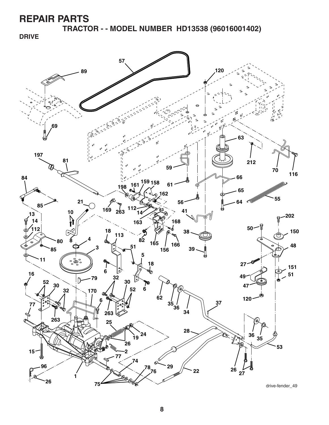**TRACTOR - - MODEL NUMBER HD13538 (96016001402)** 

**DRIVE**

![](_page_7_Figure_3.jpeg)

drive-fender\_49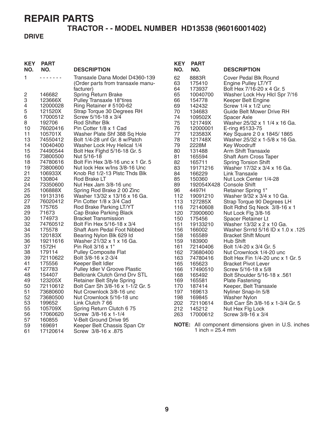#### **TRACTOR - - MODEL NUMBER HD13538 (96016001402)**

#### **DRIVE**

| <b>KEY</b><br>NO. | <b>PART</b><br>NO.  | <b>DESCRIPTION</b>                                            | <b>KEY</b><br>NO. | <b>PART</b><br>NO.         | <b>DESCRIPTION</b>                                            |
|-------------------|---------------------|---------------------------------------------------------------|-------------------|----------------------------|---------------------------------------------------------------|
| 1                 | .                   | Transaxle Dana Model D4360-139                                | 62                | 8883R                      | Cover Pedal Blk Round                                         |
|                   |                     | (Order parts from transaxle manu-                             | 63                | 175410                     | Engine Pulley LT/YT                                           |
|                   |                     | facturer)                                                     | 64                | 173937                     | Bolt Hex 7/16-20 x 4 Gr. 5                                    |
| 2                 | 146682              | Spring Return Brake                                           | 65                | 10040700                   | Washer Lock Hvy Hlcl Spr 7/16                                 |
| 3                 | 123666X             | Pulley Transaxle 18"tires                                     | 66                | 154778                     | Keeper Belt Engine                                            |
| 4                 | 12000028            | Ring Retainer # 5100-62                                       | 69                | 142432                     | Screw $1/4 \times 1/2$ unc                                    |
| 5                 | 121520X             | Strap Torque 30 Degrees RH                                    | 70                | 134683                     | Guide Belt Mower Drive RH                                     |
| 6                 | 17000512            | Screw 5/16-18 x 3/4                                           | 74                | 109502X                    | Spacer Axle                                                   |
| 8                 | 192706              | Rod Shifter Blk                                               | 75                | 121749X                    | Washer 25/32 x 1 1/4 x 16 Ga.                                 |
| 10<br>11          | 76020416            | Pin Cotter 1/8 x 1 Cad                                        | 76                | 12000001                   | E-ring #5133-75                                               |
| 13                | 105701X<br>74550412 | Washer Plate Shf 388 Sq Hole<br>Bolt 1/4-28 unf Gr. 8 w/Patch | 77<br>78          | 123583X                    | Key Square 2 0 x 1845/1865                                    |
| 14                | 10040400            | Washer Lock Hvy Helical 1/4                                   | 79                | 121748X<br>2228M           | Washer 25/32 x 1-5/8 x 16 Ga.<br>Key Woodruff                 |
| 15                | 74490544            | Bolt Hex Fighd 5/16-18 Gr. 5                                  | 80                | 131488                     | Arm Shift Transaxle                                           |
| 16                | 73800500            | Nut 5/16-18                                                   | 81                | 165594                     | Shaft Asm Cross Taper                                         |
| 18                | 74780616            | Bolt Fin Hex 3/8-16 unc x 1 Gr. 5                             | 82                | 165711                     | <b>Spring Torsion Shift</b>                                   |
| 19                | 73800600            | Nut lock Hex w/Ins 3/8-16 Unc                                 | 83                | 19171216                   | Washer 17/32 x 3/4 x 16 Ga.                                   |
| 21                | 106933X             | Knob Rd 1/2-13 Plstc Thds Blk                                 | 84                | 166229                     | Link Transaxle                                                |
| 22                | 130804              | Rod Brake LT                                                  | 85                | 150360                     | Nut Lock Center 1/4-28                                        |
| 24                | 73350600            | Nut Hex Jam 3/8-16 unc                                        | 89                |                            | 192054X428 Console Shift                                      |
| 25                | 106888X             | Spring Rod Brake 2 00 Zinc                                    | 96                | 4497H                      | Retainer Spring 1"                                            |
| 26                | 19131316            | Washer 13/32 x 13/16 x 16 Ga.                                 | 112               | 19091210                   | Washer 9/32 x 3/4 x 10 Ga.                                    |
| 27                | 76020412            | Pin Cotter 1/8 x 3/4 Cad                                      | 113               | 127285X                    | Strap Torque 90 Degrees LH                                    |
| 28                | 175765              | Rod Brake Parking LT/YT                                       | 116               | 72140608                   | Bolt Rdhd Sq Neck 3/8-16 x 1                                  |
| 29                | 71673               | Cap Brake Parking Black                                       | 120               | 73900600                   | Nut Lock Flg 3/8-16                                           |
| 30                | 174973              | <b>Bracket Transmission</b>                                   | 150               | 175456                     | Spacer Retainer Lt                                            |
| 32                | 74760512            | Bolt Fin Hex 5/16-18 x 3/4                                    | 151               | 19133210                   | Washer 13/32 x 2 x 10 Ga.                                     |
| 34                | 175578              | Shaft Asm Pedal Foot Nibbed                                   | 156               | 166002                     | Washer Srrrtd 5/16 ID x 1.0 x .125                            |
| 35                | 120183X             | Bearing Nylon Blk 629 Id                                      | 158               | 165589                     | <b>Bracket Shift Mount</b>                                    |
| 36                | 19211616            | Washer 21/32 x 1 x 16 Ga.                                     | 159               | 183900                     | Hub Shift                                                     |
| 37<br>38          | 1572H<br>179114     | Pin Roll 3/16 x 1"<br><b>Pulley Composite Flat</b>            | 161<br>162        | 72140406                   | Bolt 1/4-20 x 3/4 Gr. 5                                       |
| 39                | 72110622            | Bolt 3/8-16 x 2-3/4                                           | 163               | 73680400<br>74780416       | Nut Crownlock 1/4-20 unc<br>Bolt Hex Fin 1/4-20 unc x 1 Gr. 5 |
| 41                | 175556              | Keeper Belt Idler                                             | 165               | 165623                     | <b>Bracket Pivot Lever</b>                                    |
| 47                | 127783              | Pulley Idler V Groove Plastic                                 | 166               | 17490510                   | Screw 5/16-18 x 5/8                                           |
| 48                | 154407              | Bellcrank Clutch Grnd Drv STL                                 | 168               | 165492                     | Bolt Shoulder 5/16-18 x .561                                  |
| 49                | 123205X             | <b>Retainer Belt Style Spring</b>                             | 169               | 165581                     | <b>Plate Fastening</b>                                        |
| 50                | 72110612            | Bolt Carr Sh 3/8-16 x 1-1/2 Gr. 5                             | 170               | 187414                     | Keeper, Belt Transaxle                                        |
| 51                | 73680600            | Nut Crownlock 3/8-16 unc                                      | 197               | 169613                     | Nyliner Snap-In 5/8                                           |
| 52                | 73680500            | Nut Crownlock 5/16-18 unc                                     | 198               | 169845                     | <b>Washer Nylon</b>                                           |
| 53                | 199652              | Link Clutch 7 66                                              | 202               | 72110614                   | Bolt Carr Sh 3/8-16 x 1-3/4 Gr. 5                             |
| 55                | 105709X             | Spring Return Clutch 6 75                                     | 212               | 145212                     | Nut Hex Flg Lock                                              |
| 56                | 17060620            | Screw 3/8-16 x 1-1/4                                          | 263               | 17000612                   | Screw 3/8-16 x 3/4                                            |
| 57                | 160855              | V-Belt Ground Drive 95                                        |                   |                            |                                                               |
| 59                | 169691              | Keeper Belt Chassis Span Ctr                                  |                   |                            | <b>NOTE:</b> All component dimensions given in U.S. inches    |
| 61                | 17120614            | Screw 3/8-16 x .875                                           |                   | 1 inch = $25.4 \text{ mm}$ |                                                               |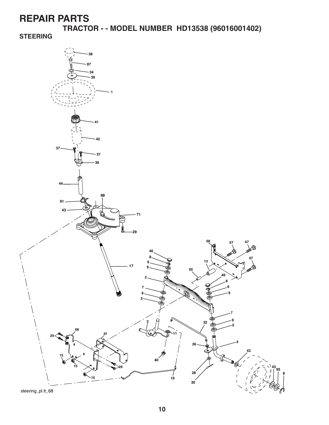**TRACTOR - - MODEL NUMBER HD13538 (96016001402)** 

**STEERING**

![](_page_9_Figure_3.jpeg)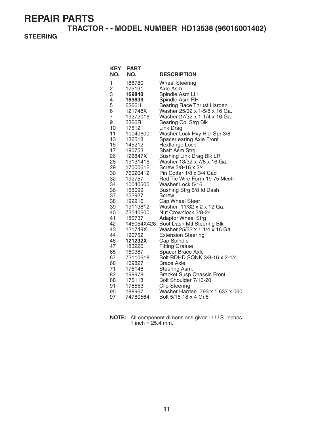**TRACTOR - - MODEL NUMBER HD13538 (96016001402)** 

#### **STEERING**

| <b>KEY</b>     | <b>PART</b>          |                                                         |
|----------------|----------------------|---------------------------------------------------------|
| NO.            | NO.                  | <b>DESCRIPTION</b>                                      |
| 1              | 186780               | <b>Wheel Steering</b>                                   |
| $\overline{c}$ | 175131               | Axle Asm                                                |
| 3              | 169840               | Spindle Asm LH                                          |
| 4              | 169839               | Spindle Asm RH                                          |
| 5              | 6266H                | <b>Bearing Race Thrust Harden</b>                       |
| 6              | 121748X              | Washer 25/32 x 1-5/8 x 16 Ga.                           |
| 7              | 19272016             | Washer 27/32 x 1-1/4 x 16 Ga.                           |
| 9              | 3366R                | <b>Bearing Col Strg Blk</b>                             |
| 10             | 175121               | Link Drag                                               |
| 11             | 10040600             | Washer Lock Hvy Hicl Spr 3/8                            |
| 13             | 136518               | Spacer earing Axle Front                                |
| 15             | 145212               | Hexflange Lock                                          |
| 17             | 190753               | Shaft Asm Strg                                          |
| 26             | 126847X              | Bushing Link Drag Blk LR<br>Washer 13/32 x 7/8 x 16 Ga. |
| 28<br>29       | 19131416<br>17000612 | Screw 3/8-16 x 3/4                                      |
| 30             | 76020412             | Pin Cotter 1/8 x 3/4 Cad                                |
| 32             | 192757               | Rod Tie Wire Form 19 75 Mech                            |
| 34             | 10040500             | Washer Lock 5/16                                        |
| 36             | 155099               | Bushing Strg 5/8 Id Dash                                |
| 37             | 152927               | Screw                                                   |
| 38             | 192916               | Cap Wheel Steer                                         |
| 39             | 19113812             | Washer 11/32 x 2 x 12 Ga.                               |
| 40             | 73540600             | Nut Crownlock 3/8-24                                    |
| 41             | 186737               | <b>Adaptor Wheel Strg</b>                               |
| 42             | 145054X428           | Boot Dash Mtl Steering Blk                              |
| 43             | 121749X              | Washer 25/32 x 1 1/4 x 16 Ga.                           |
| 44             | 190752               | <b>Extension Steering</b>                               |
| 46             | 121232X              | Cap Spindle                                             |
| 47             | 183226               | <b>Fitting Grease</b>                                   |
| 65             | 160367               | Spacer Brace Axle                                       |
| 67             | 72110618             | Bolt RDHD SQNK 3/8-16 x 2-1/4                           |
| 68             | 169827               | <b>Brace Axle</b>                                       |
| 71             | 175146               | Steering Asm.                                           |
| 82             | 199978               | <b>Bracket Susp Chassis Front</b>                       |
| 88             | 175118               | Bolt Shoulder 7/16-20                                   |
| 91             | 175553               | <b>Clip Steering</b>                                    |
| 95             | 188967               | Washer Harden .793 x 1.637 x 060                        |
| 97             | 74780564             | Bolt 5/16-18 x 4 Gr.5                                   |

**NOTE:** All component dimensions given in U.S. inches 1 inch =  $25.4$  mm.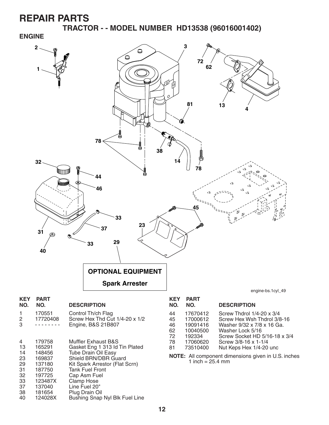38 181654 Plug Drain Oil

Bushing Snap Nyl Blk Fuel Line

**TRACTOR - - MODEL NUMBER HD13538 (96016001402) ENGINE**

![](_page_11_Figure_2.jpeg)

**12**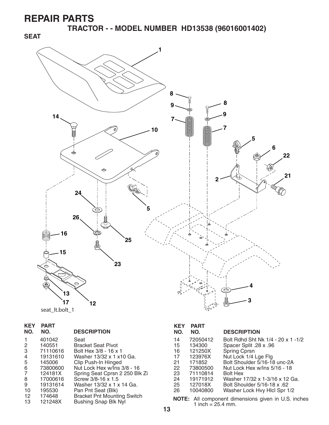**SEAT**

**TRACTOR - - MODEL NUMBER HD13538 (96016001402)** 

![](_page_12_Figure_2.jpeg)

|  | seat It.bolt 1 |  |
|--|----------------|--|
|--|----------------|--|

| <b>KEY</b><br>NO. | <b>PART</b><br>NO. | <b>DESCRIPTION</b>                 |
|-------------------|--------------------|------------------------------------|
| 1                 | 401042             | Seat                               |
| 2                 | 140551             | Bracket Seat Pivot                 |
| 3                 | 71110616           | Bolt Hex 3/8 - 16 x 1              |
| 4                 | 19131610           | Washer 13/32 x 1 x10 Ga.           |
| 5                 | 145006             | Clip Push-In Hinged                |
| 6                 | 73800600           | Nut Lock Hex w/Ins 3/8 - 16        |
| 7                 | 124181X            | Spring Seat Cprsn 2 250 Blk Zi     |
| 8                 | 17000616           | Screw 3/8-16 x 1.5                 |
| 9                 | 19131614           | Washer 13/32 x 1 x 14 Ga.          |
| 10                | 195530             | Pan Pnt Seat (Blk)                 |
| 12                | 174648             | <b>Bracket Pnt Mounting Switch</b> |
| 13                | 121248X            | <b>Bushing Snap Blk Nyl</b>        |

#### **KEY PART DESCRIPTION** 14 72050412 Bolt Rdhd Sht Nk 1/4 - 20 x 1 - 1/2<br>15 134300 Spacer Split .28 x .96 15 134300 Spacer Split .28 x .96 16 121250X Spring Cprsn 17 123976X Nut Lock 1/4 Lge Flg 21 171852 Bolt Shoulder 5/16-18 unc-2A

- 22 73800500 Nut Lock Hex w/Ins 5/16 18 23 71110814<br>24 19171912 24 19171912 Washer 17/32 x 1-3/16 x 12 Ga. 25 127018X Bolt Shoulder 5/16-18 x .62<br>26 10040800 Washer Lock Hvy Hlcl Spr 1. Washer Lock Hvy Hlcl Spr 1/2
- **NOTE:** All component dimensions given in U.S. inches 1 inch =  $25.4$  mm.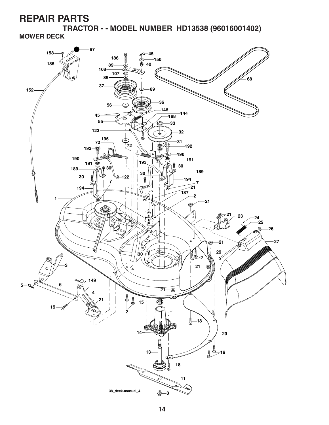**TRACTOR - - MODEL NUMBER HD13538 (96016001402) MOWER DECK**

![](_page_13_Figure_2.jpeg)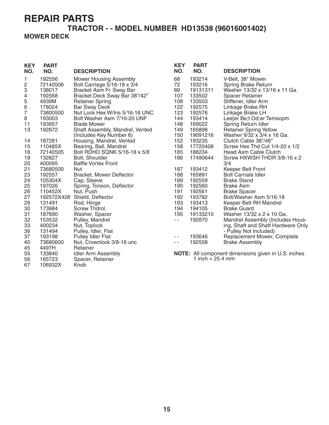#### **TRACTOR - - MODEL NUMBER HD13538 (96016001402) MOWER DECK**

| <b>KEY</b>              | <b>PART</b> |                                 | <b>KEY</b>    | <b>PART</b>        |                                                     |
|-------------------------|-------------|---------------------------------|---------------|--------------------|-----------------------------------------------------|
| NO.                     | NO.         | <b>DESCRIPTION</b>              | NO.           | NO.                | <b>DESCRIPTION</b>                                  |
| 1                       | 192556      | <b>Mower Housing Assembly</b>   | 68            | 193214             | V-Belt, 38" Mower                                   |
| $\overline{\mathbf{c}}$ | 72140506    | Bolt Carriage 5/16-18 x 3/4     | 72            | 193216             | Spring Brake Return                                 |
| 3                       | 138017      | Bracket Asm Fr. Sway Bar        | 89            | 19131311           | Washer 13/32 x 13/16 x 11 Ga.                       |
| 4                       | 192568      | Bracket Deck Sway Bar 38"/42"   | 107           | 133502             | Spacer Retainer                                     |
| 5                       | 4939M       | <b>Retainer Spring</b>          | 108           | 133503             | Stiffener, Idler Arm                                |
| 6                       | 178024      | <b>Bar Sway Deck</b>            | 122           | 192575             | Linkage Brake RH                                    |
| $\overline{7}$          | 73800500    | Nut Lock Hex W/Ins 5/16-18 UNC  | 123           | 192576             | Linkage Brake LH                                    |
| 8                       | 193003      | Bolt Washer Asm 7/16-20 UNF     | 144           | 193414             | Leeser Be;t Od;er Temsopm                           |
| 11                      | 193957      | <b>Blade Mower</b>              | 148           | 169022             | Spring Return Idler                                 |
| 13                      | 192872      | Shaft Assembly, Mandrel, Vented | 149           | 165898             | <b>Retainer Spring Yellow</b>                       |
|                         |             | (Includes Key Number 6)         | 150           | 19091216           | Washer 9/32 x 3/4 x 16 Ga.                          |
| 14                      | 187281      | Housing, Mandrel, Vented        | 152           | 193235             | Clutch Cable 38"/46"                                |
| 15                      | 110485X     | Bearing, Ball, Mandrel          | 158           | 17720408           | Screw Hex Thd Cut $1/4-20 \times 1/2$               |
| 18                      | 72140505    | Bolt RDHD SQNK 5/16-18 x 5/8    | 185           | 188234             | Head Asm Cable Clutch                               |
| 19                      | 132827      | Bolt, Shoulder                  | 186           | 17490644           | Screw HXWSH THDR 3/8-16 x 2                         |
| 20                      | 400095      | <b>Baffle Vortex Front</b>      |               |                    | 3/4                                                 |
| 21                      | 73680500    | <b>Nut</b>                      | 187           | 193412             | Keeper Belt Front                                   |
| 23                      | 192557      | Bracket, Mower Deflector        | 188           | 165891             | <b>Bolt Carriate Idler</b>                          |
| 24                      | 105304X     | Cap, Sleeve                     | 189           | 192559             | <b>Brake Stand</b>                                  |
| 25                      | 197026      | Spring, Torsion, Deflector      | 190           | 192560             | <b>Brake Asm</b>                                    |
| 26                      | 110452X     | Nut, Push                       | 191           | 192561             | <b>Brake Spacer</b>                                 |
| 27                      |             | 192572X428 Shield, Deflector    | 192           | 193782             | Bolt/Washer Asm 5/16-18                             |
| 29                      | 131491      | Rod, Hinge                      | 193           | 193413             | Keeper Belt RH Mandrel                              |
| 30                      | 173984      | Screw Thdrol.                   | 194           | 194105             | <b>Brake Guard</b>                                  |
| 31                      | 187690      | Washer, Spacer                  | 195           | 19133210           | Washer 13/32 x 2 x 10 Ga.                           |
| 32                      | 153532      | Pulley, Mandrel                 | $\sim$ $\sim$ | 192870             | Mandrel Assembly (Includes Hous-                    |
| 33                      | 400234      | Nut, Toplock                    |               |                    | ing, Shaft and Shaft Hardware Only                  |
| 36                      | 131494      | Pulley, Idler, Flat             |               |                    | - Pulley Not Included)                              |
| 37                      | 193198      | Pulley Idler Flat               | - -           | 193646             | Replacement Mower, Complete                         |
| 40                      | 73680600    | Nut, Crownlock 3/8-16 unc       | $\sim$ $\sim$ | 192558             | <b>Brake Assembly</b>                               |
| 45                      | 4497H       | Retainer                        |               |                    |                                                     |
| 55                      | 133840      | Idler Arm Assembly              |               |                    | NOTE: All component dimensions given in U.S. inches |
| 56                      | 165723      | Spacer, Retainer                |               | 1 inch = $25.4$ mm |                                                     |
| 67                      | 106932X     | Knob                            |               |                    |                                                     |